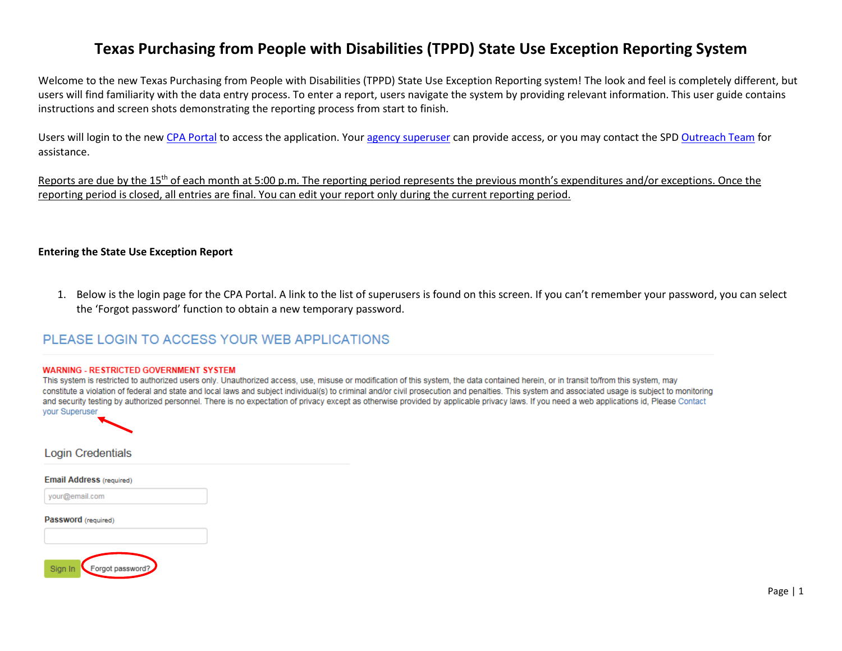# **Texas Purchasing from People with Disabilities (TPPD) State Use Exception Reporting System**

Welcome to the new Texas Purchasing from People with Disabilities (TPPD) State Use Exception Reporting system! The look and feel is completely different, but users will find familiarity with the data entry process. To enter a report, users navigate the system by providing relevant information. This user guide contains instructions and screen shots demonstrating the reporting process from start to finish.

Users will login to the new [CPA Portal](https://checkout.na1.netsuite.com/c.852252/checkout/login.ssp?ext=F&__utmz=170159910.1485267598.1.1.utmcsr=(direct)%7Cutmccn=(direct)%7Cutmcmd=(none)&__utmx=-&__utmv=-&login=T&n=2&fragment=&__utmk=182029415&__utmb=170159910.1.10.1485267598&__utmc=170159910&__utma=170159910.562162741.1485267598.1485267598.1485267598.1#login-register) to access the application. Your [agency superuser](http://shopping.na1.netsuite.com/s.nl/c.852252/sc.31/category.19754855/SS.19754855/ctype.SS/.f?ext=F) can provide access, or you may contact the SPD [Outreach](https://www.comptroller.texas.gov/purchasing/contact/tech-support.php) Team for assistance.

Reports are due by the 15<sup>th</sup> of each month at 5:00 p.m. The reporting period represents the previous month's expenditures and/or exceptions. Once the reporting period is closed, all entries are final. You can edit your report only during the current reporting period.

#### **Entering the State Use Exception Report**

1. Below is the login page for the CPA Portal. A link to the list of superusers is found on this screen. If you can't remember your password, you can select the 'Forgot password' function to obtain a new temporary password.

# PLEASE LOGIN TO ACCESS YOUR WEB APPLICATIONS

#### **WARNING - RESTRICTED GOVERNMENT SYSTEM**

This system is restricted to authorized users only. Unauthorized access, use, misuse or modification of this system, the data contained herein, or in transit to/from this system, may constitute a violation of federal and state and local laws and subject individual(s) to criminal and/or civil prosecution and penalties. This system and associated usage is subject to monitoring and security testing by authorized personnel. There is no expectation of privacy except as otherwise provided by applicable privacy laws. If you need a web applications id. Please Contact your Superuser



**Login Credentials** 

**Email Address (required)** 

your@email.com

Password (required)

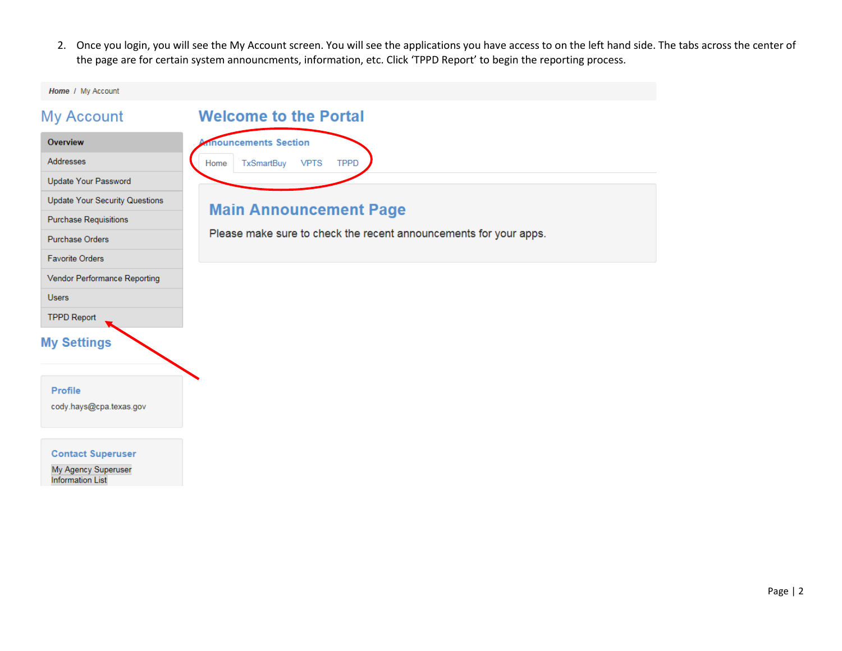2. Once you login, you will see the My Account screen. You will see the applications you have access to on the left hand side. The tabs across the center of the page are for certain system announcments, information, etc. Click 'TPPD Report' to begin the reporting process.

Home / My Account

| <b>My Account</b>                     | <b>Welcome to the Portal</b>                                      |  |  |  |
|---------------------------------------|-------------------------------------------------------------------|--|--|--|
| Overview                              | inouncements Section                                              |  |  |  |
| Addresses                             | <b>VPTS</b><br><b>TPPD</b><br><b>TxSmartBuy</b><br>Home           |  |  |  |
| Update Your Password                  |                                                                   |  |  |  |
| <b>Update Your Security Questions</b> |                                                                   |  |  |  |
| <b>Purchase Requisitions</b>          | <b>Main Announcement Page</b>                                     |  |  |  |
| <b>Purchase Orders</b>                | Please make sure to check the recent announcements for your apps. |  |  |  |
| <b>Favorite Orders</b>                |                                                                   |  |  |  |
| Vendor Performance Reporting          |                                                                   |  |  |  |
| <b>Users</b>                          |                                                                   |  |  |  |
| <b>TPPD Report</b>                    |                                                                   |  |  |  |
| <b>My Settings</b><br><b>Profile</b>  |                                                                   |  |  |  |
| cody.hays@cpa.texas.gov               |                                                                   |  |  |  |

**Contact Superuser** 

My Agency Superuser<br>Information List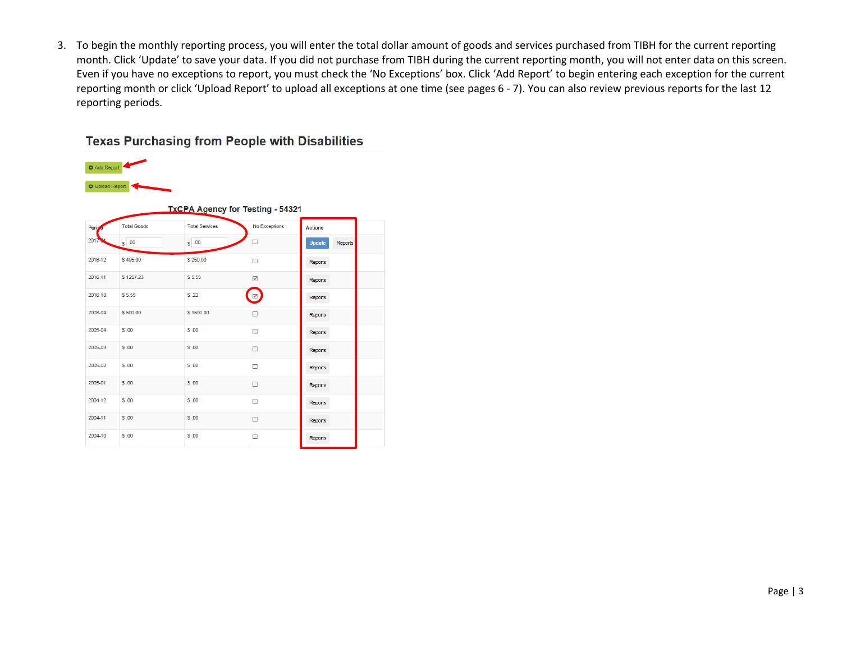3. To begin the monthly reporting process, you will enter the total dollar amount of goods and services purchased from TIBH for the current reporting month. Click 'Update' to save your data. If you did not purchase from TIBH during the current reporting month, you will not enter data on this screen. Even if you have no exceptions to report, you must check the 'No Exceptions' box. Click 'Add Report' to begin entering each exception for the current reporting month or click 'Upload Report' to upload all exceptions at one time (see pages 6 - 7). You can also review previous reports for the last 12 reporting periods.

## **Texas Purchasing from People with Disabilities**

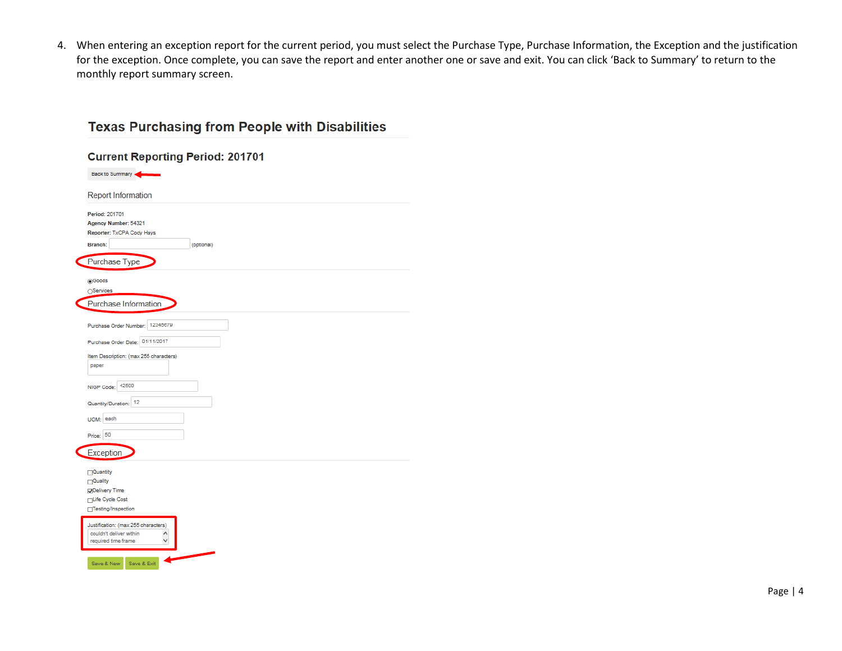4. When entering an exception report for the current period, you must select the Purchase Type, Purchase Information, the Exception and the justification for the exception. Once complete, you can save the report and enter another one or save and exit. You can click 'Back to Summary' to return to the monthly report summary screen.

| <b>Report Information</b>                       |            |
|-------------------------------------------------|------------|
| Period: 201701                                  |            |
| Agency Number: 54321                            |            |
| Reporter: TxCPA Cody Hays                       |            |
| Branch:                                         | (optional) |
| Purchase Type                                   |            |
| @Goods                                          |            |
| ○Services                                       |            |
| Purchase Information                            |            |
|                                                 |            |
|                                                 |            |
| Purchase Order Number: 12345679                 |            |
| Purchase Order Date: 01/11/2017                 |            |
|                                                 |            |
| Item Description: (max 255 characters)<br>paper |            |
|                                                 |            |
| 42500                                           |            |
| NIGP Code:                                      |            |
| Quantity/Duration: 12                           |            |
|                                                 |            |
| UOM: each                                       |            |
| Price: 50                                       |            |
|                                                 |            |
| Exception                                       |            |
|                                                 |            |
| □Quantity                                       |            |
| $\Box$ Quality                                  |            |
| Oelivery Time                                   |            |
| <b>FLife Cycle Cost</b>                         |            |
| Testing/Inspection                              |            |
| Justification: (max 255 characters)             |            |
| couldn't deliver within<br>∧                    |            |
|                                                 |            |

# **Texas Purchasing from People with Disabilities**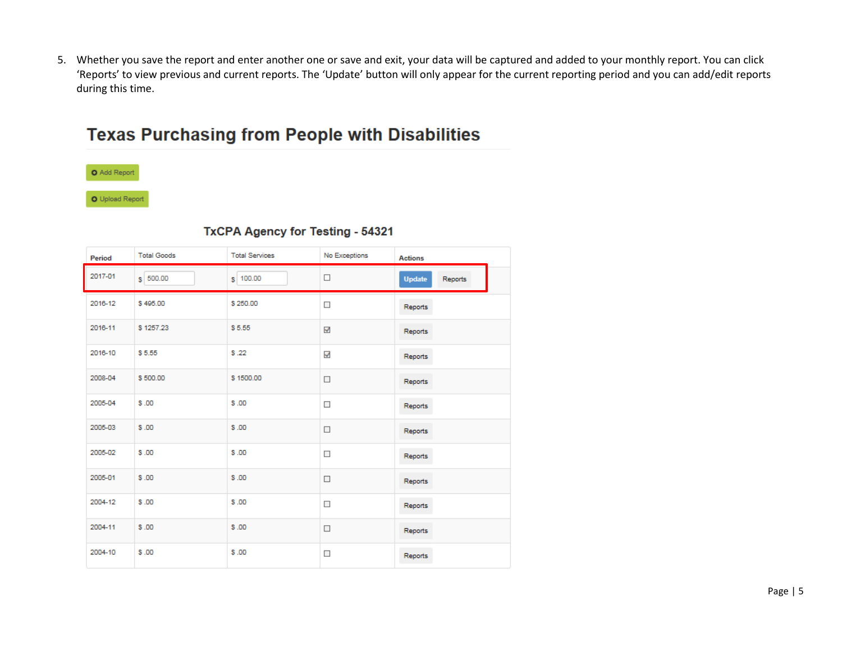5. Whether you save the report and enter another one or save and exit, your data will be captured and added to your monthly report. You can click 'Reports' to view previous and current reports. The 'Update' button will only appear for the current reporting period and you can add/edit reports during this time.

# **Texas Purchasing from People with Disabilities**



O Upload Report

| Period  | <b>Total Goods</b> | <b>Total Services</b> | No Exceptions | <b>Actions</b>           |
|---------|--------------------|-----------------------|---------------|--------------------------|
| 2017-01 | $s$ 500.00         | $S$ 100.00            | □             | <b>Update</b><br>Reports |
| 2016-12 | \$495.00           | \$250.00              | $\Box$        | Reports                  |
| 2016-11 | \$1257.23          | \$5.55                | √             | Reports                  |
| 2016-10 | \$5.55             | \$.22                 | √             | Reports                  |
| 2008-04 | \$500.00           | \$1500.00             | $\Box$        | Reports                  |
| 2005-04 | \$.00              | \$.00                 | $\Box$        | Reports                  |
| 2005-03 | \$.00              | \$.00                 | $\Box$        | Reports                  |
| 2005-02 | \$.00              | \$.00                 | $\Box$        | Reports                  |
| 2005-01 | \$.00              | \$.00                 | $\Box$        | Reports                  |
| 2004-12 | \$.00              | \$.00                 | $\Box$        | Reports                  |
| 2004-11 | \$.00              | \$.00                 | $\Box$        | Reports                  |
| 2004-10 | \$.00              | \$.00                 | $\Box$        | Reports                  |

## **TxCPA Agency for Testing - 54321**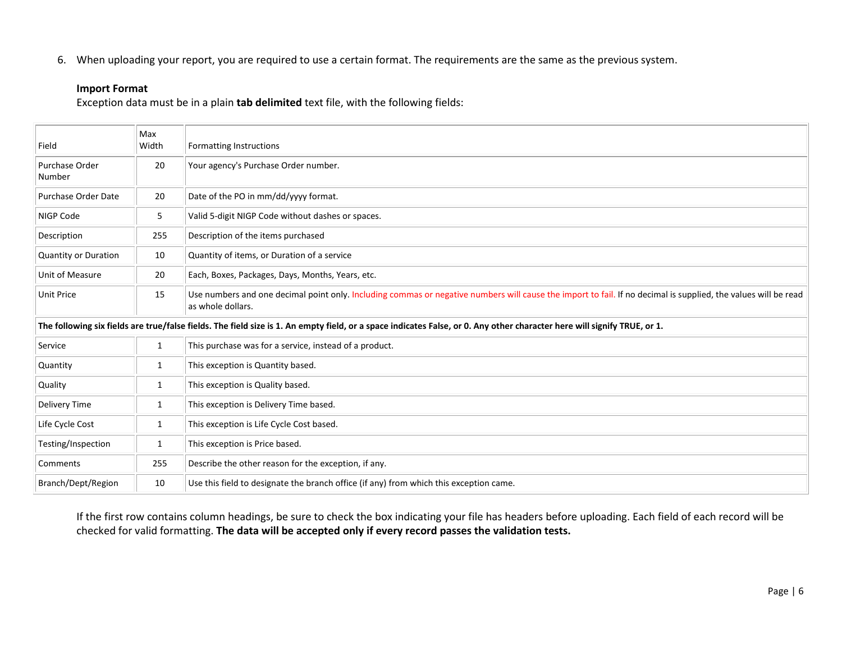6. When uploading your report, you are required to use a certain format. The requirements are the same as the previous system.

#### **Import Format**

Exception data must be in a plain **tab delimited** text file, with the following fields:

| Field                       | Max<br>Width | <b>Formatting Instructions</b>                                                                                                                                                      |  |  |
|-----------------------------|--------------|-------------------------------------------------------------------------------------------------------------------------------------------------------------------------------------|--|--|
| Purchase Order<br>Number    | 20           | Your agency's Purchase Order number.                                                                                                                                                |  |  |
| Purchase Order Date         | 20           | Date of the PO in mm/dd/yyyy format.                                                                                                                                                |  |  |
| NIGP Code                   | 5            | Valid 5-digit NIGP Code without dashes or spaces.                                                                                                                                   |  |  |
| Description                 | 255          | Description of the items purchased                                                                                                                                                  |  |  |
| <b>Quantity or Duration</b> | 10           | Quantity of items, or Duration of a service                                                                                                                                         |  |  |
| Unit of Measure             | 20           | Each, Boxes, Packages, Days, Months, Years, etc.                                                                                                                                    |  |  |
| <b>Unit Price</b>           | 15           | Use numbers and one decimal point only. Including commas or negative numbers will cause the import to fail. If no decimal is supplied, the values will be read<br>as whole dollars. |  |  |
|                             |              | The following six fields are true/false fields. The field size is 1. An empty field, or a space indicates False, or 0. Any other character here will signify TRUE, or 1.            |  |  |
| Service                     | 1            | This purchase was for a service, instead of a product.                                                                                                                              |  |  |
| Quantity                    | 1            | This exception is Quantity based.                                                                                                                                                   |  |  |
| Quality                     | 1            | This exception is Quality based.                                                                                                                                                    |  |  |
| Delivery Time               | 1            | This exception is Delivery Time based.                                                                                                                                              |  |  |
| Life Cycle Cost             | 1            | This exception is Life Cycle Cost based.                                                                                                                                            |  |  |
| Testing/Inspection          | 1            | This exception is Price based.                                                                                                                                                      |  |  |
| Comments                    | 255          | Describe the other reason for the exception, if any.                                                                                                                                |  |  |
| Branch/Dept/Region          | 10           | Use this field to designate the branch office (if any) from which this exception came.                                                                                              |  |  |

If the first row contains column headings, be sure to check the box indicating your file has headers before uploading. Each field of each record will be checked for valid formatting. **The data will be accepted only if every record passes the validation tests.**